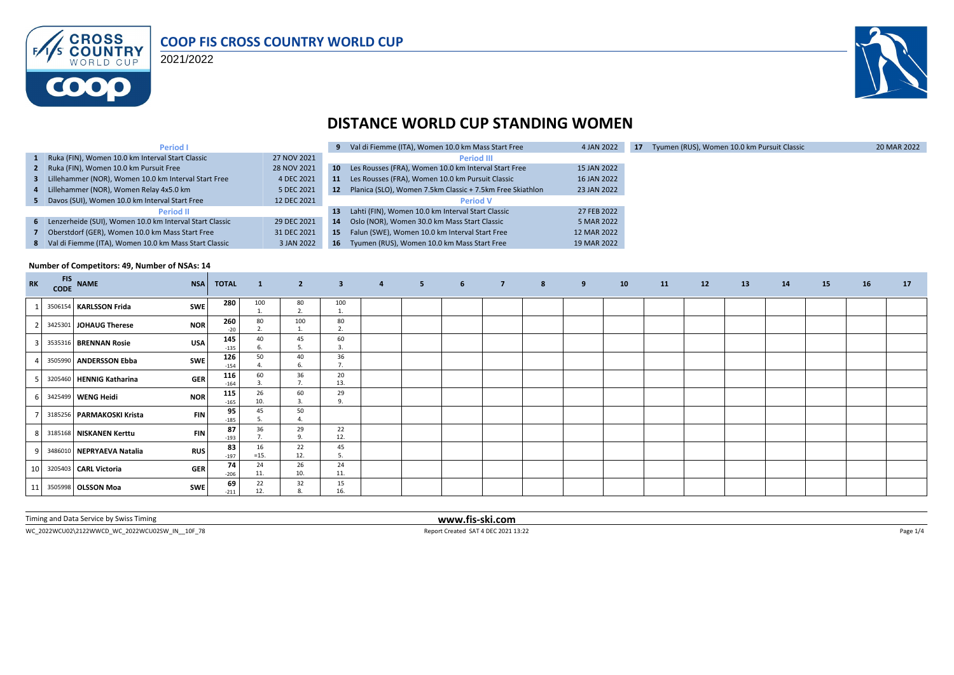

2021/2022



### **DISTANCE WORLD CUP STANDING WOMEN**

| Period I                                                  |             |                 | 9 Val di Fiemme (ITA), Women 10.0 km Mass Start Free      | 4 JAN 2022  | 17 | Tyumen (RUS), Women 10.0 km Pursuit Classic | 20 MAR 2022 |
|-----------------------------------------------------------|-------------|-----------------|-----------------------------------------------------------|-------------|----|---------------------------------------------|-------------|
| 1 Ruka (FIN), Women 10.0 km Interval Start Classic        | 27 NOV 2021 |                 | <b>Period III</b>                                         |             |    |                                             |             |
| 2 Ruka (FIN), Women 10.0 km Pursuit Free                  | 28 NOV 2021 | 10 <sup>1</sup> | Les Rousses (FRA), Women 10.0 km Interval Start Free      | 15 JAN 2022 |    |                                             |             |
| 3 Lillehammer (NOR), Women 10.0 km Interval Start Free    | 4 DEC 2021  | 11              | Les Rousses (FRA), Women 10.0 km Pursuit Classic          | 16 JAN 2022 |    |                                             |             |
| 4 Lillehammer (NOR), Women Relay 4x5.0 km                 | 5 DEC 2021  | 12              | Planica (SLO), Women 7.5km Classic + 7.5km Free Skiathlon | 23 JAN 2022 |    |                                             |             |
| 5 Davos (SUI), Women 10.0 km Interval Start Free          | 12 DEC 2021 |                 | <b>Period V</b>                                           |             |    |                                             |             |
| <b>Period II</b>                                          |             | 13              | Lahti (FIN), Women 10.0 km Interval Start Classic         | 27 FEB 2022 |    |                                             |             |
| 6 Lenzerheide (SUI), Women 10.0 km Interval Start Classic | 29 DEC 2021 | 14              | Oslo (NOR), Women 30.0 km Mass Start Classic              | 5 MAR 2022  |    |                                             |             |
| 7 Oberstdorf (GER), Women 10.0 km Mass Start Free         | 31 DEC 2021 | 15              | Falun (SWE), Women 10.0 km Interval Start Free            | 12 MAR 2022 |    |                                             |             |
| 8 Val di Fiemme (ITA), Women 10.0 km Mass Start Classic   | 3 JAN 2022  | 16              | Tyumen (RUS), Women 10.0 km Mass Start Free               | 19 MAR 2022 |    |                                             |             |

#### **Number of Competitors: 49, Number of NSAs: 14**

| RK             | FIS NAME<br>CODE NAME |                                        | <b>NSA</b> | <b>TOTAL</b>  | $\vert 1 \rangle$              | $\overline{2}$       | 3 <sup>2</sup> | $\overline{4}$ | $5 - 1$ | 6 <sup>1</sup> | <b>The Factor</b> | $8 - 1$ | 9 | 10 | 11 | 12 | 13 | 14 | <b>15</b> | 16 | 17 |
|----------------|-----------------------|----------------------------------------|------------|---------------|--------------------------------|----------------------|----------------|----------------|---------|----------------|-------------------|---------|---|----|----|----|----|----|-----------|----|----|
|                |                       | <b>SWE</b><br>3506154 KARLSSON Frida   |            | 280           | 100                            | 80<br>2.             | 100            |                |         |                |                   |         |   |    |    |    |    |    |           |    |    |
|                |                       | <b>NOR</b><br>3425301 JOHAUG Therese   |            | 260<br>$-20$  | 80                             | 100<br>Ŧ,            | 80<br>2.       |                |         |                |                   |         |   |    |    |    |    |    |           |    |    |
|                |                       | <b>USA</b><br>3535316 BRENNAN Rosie    |            | 145<br>$-135$ | 40                             | 45<br>5.             | 60<br>3.       |                |         |                |                   |         |   |    |    |    |    |    |           |    |    |
|                |                       | <b>SWE</b><br>3505990 ANDERSSON Ebba   |            | 126<br>$-154$ | 50                             | 40<br>6.             | 36<br>7.       |                |         |                |                   |         |   |    |    |    |    |    |           |    |    |
|                |                       | <b>GER</b><br>3205460 HENNIG Katharina |            | 116<br>$-164$ | 60                             | 36<br>7.             | 20<br>13.      |                |         |                |                   |         |   |    |    |    |    |    |           |    |    |
|                |                       | <b>NOR</b><br>3425499 WENG Heidi       |            | 115<br>$-165$ | 26<br>10.                      | 60<br>3.             | 29<br>9.       |                |         |                |                   |         |   |    |    |    |    |    |           |    |    |
|                |                       | 3185256 PARMAKOSKI Krista              | <b>FIN</b> | 95<br>$-185$  | 45                             | 50<br>$\overline{4}$ |                |                |         |                |                   |         |   |    |    |    |    |    |           |    |    |
|                |                       | 3185168 NISKANEN Kerttu                | <b>FIN</b> | 87<br>$-193$  | 36<br>$\overline{\phantom{a}}$ | 29<br>9.             | 22<br>12.      |                |         |                |                   |         |   |    |    |    |    |    |           |    |    |
|                |                       | 3486010 NEPRYAEVA Natalia              | <b>RUS</b> | 83<br>$-197$  | 16<br>$=15.$                   | 22<br>12.            | 45<br>5.       |                |         |                |                   |         |   |    |    |    |    |    |           |    |    |
| 10             |                       | 3205403 CARL Victoria                  | <b>GER</b> | 74<br>$-206$  | 24<br>11.                      | 26<br>10.            | 24<br>11.      |                |         |                |                   |         |   |    |    |    |    |    |           |    |    |
| 1 <sup>1</sup> |                       | <b>SWE</b><br>3505998 OLSSON Moa       |            | 69<br>$-211$  | 22<br>12.                      | 32<br>8.             | 15<br>16.      |                |         |                |                   |         |   |    |    |    |    |    |           |    |    |

Timing and Data Service by Swiss Timing **www.fis-ski.com**

WC\_2022WCU02\2122WWCD\_WC\_2022WCU02SW\_IN\_\_10F\_78 Page 1/4 Report Created SAT 4 DEC 2021 13:22 Page 1/4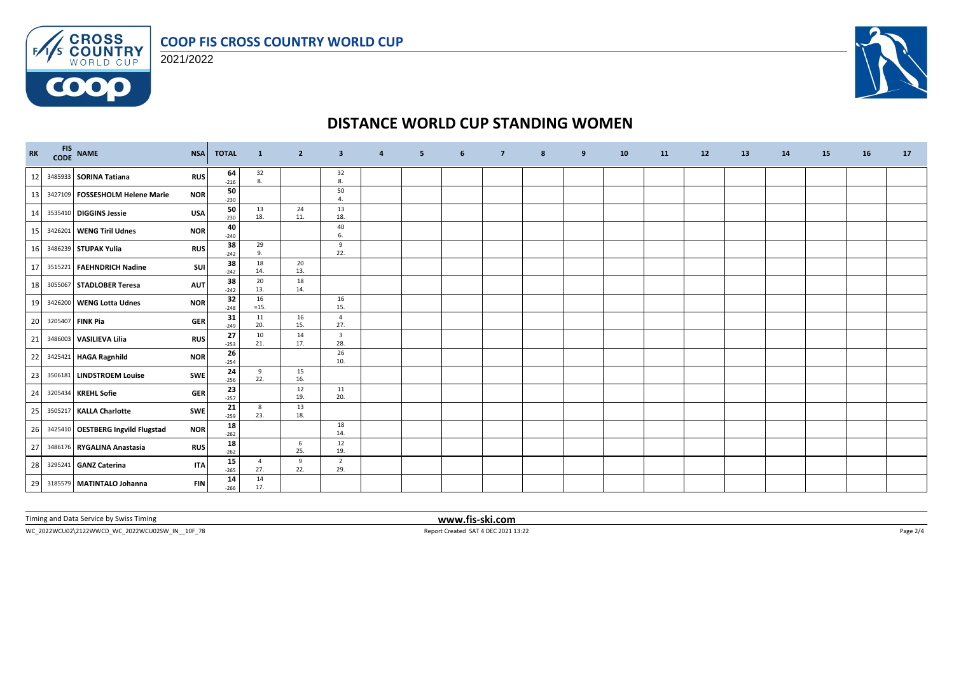



**COOO** 



## **DISTANCE WORLD CUP STANDING WOMEN**

| $\mathbf{R}\mathbf{K}$ | FIS NAME<br>CODE NAME               | <b>NSA</b> | <b>TOTAL</b> | $\mathbf{1}$          | $\overline{2}$ | $\overline{\mathbf{3}}$        | $\overline{a}$ | 5 | 6 | $\overline{7}$ | 8 | 9 | 10 | <b>11</b> | 12 | 13 | 14 | <b>15</b> | 16 | 17 |
|------------------------|-------------------------------------|------------|--------------|-----------------------|----------------|--------------------------------|----------------|---|---|----------------|---|---|----|-----------|----|----|----|-----------|----|----|
| 12                     | 3485933 SORINA Tatiana              | <b>RUS</b> | 64<br>$-216$ | 32<br>8.              |                | 32<br>8.                       |                |   |   |                |   |   |    |           |    |    |    |           |    |    |
| 13                     | 3427109   FOSSESHOLM Helene Marie   | <b>NOR</b> | 50<br>$-230$ |                       |                | 50<br>4.                       |                |   |   |                |   |   |    |           |    |    |    |           |    |    |
| 14                     | 3535410 DIGGINS Jessie              | <b>USA</b> | 50<br>$-230$ | 13<br>18.             | 24<br>11.      | 13<br>18.                      |                |   |   |                |   |   |    |           |    |    |    |           |    |    |
| 15                     | 3426201 WENG Tiril Udnes            | <b>NOR</b> | 40<br>$-240$ |                       |                | 40<br>6.                       |                |   |   |                |   |   |    |           |    |    |    |           |    |    |
| 16                     | 3486239 STUPAK Yulia                | <b>RUS</b> | 38<br>$-242$ | 29<br>9.              |                | 9<br>22.                       |                |   |   |                |   |   |    |           |    |    |    |           |    |    |
| 17                     | 3515221 FAEHNDRICH Nadine           | SUI        | 38<br>$-242$ | 18<br>14.             | 20<br>13.      |                                |                |   |   |                |   |   |    |           |    |    |    |           |    |    |
| 18                     | 3055067 STADLOBER Teresa            | <b>AUT</b> | 38<br>$-242$ | 20<br>13.             | 18<br>14.      |                                |                |   |   |                |   |   |    |           |    |    |    |           |    |    |
| 19                     | 3426200 WENG Lotta Udnes            | <b>NOR</b> | 32<br>$-248$ | 16<br>$=15.$          |                | 16<br>15.                      |                |   |   |                |   |   |    |           |    |    |    |           |    |    |
| 20                     | 3205407 FINK Pia                    | <b>GER</b> | 31<br>$-249$ | 11<br>20.             | 16<br>15.      | $\overline{4}$<br>27.          |                |   |   |                |   |   |    |           |    |    |    |           |    |    |
| 21                     | 3486003 VASILIEVA Lilia             | <b>RUS</b> | 27<br>$-253$ | 10<br>21.             | 14<br>17.      | $\overline{\mathbf{3}}$<br>28. |                |   |   |                |   |   |    |           |    |    |    |           |    |    |
| 22                     | 3425421 HAGA Ragnhild               | <b>NOR</b> | 26<br>$-254$ |                       |                | 26<br>10.                      |                |   |   |                |   |   |    |           |    |    |    |           |    |    |
| 23                     | 3506181 LINDSTROEM Louise           | <b>SWE</b> | 24<br>$-256$ | 9<br>22.              | 15<br>16.      |                                |                |   |   |                |   |   |    |           |    |    |    |           |    |    |
| 24                     | 3205434 KREHL Sofie                 | <b>GER</b> | 23<br>$-257$ |                       | 12<br>19.      | 11<br>20.                      |                |   |   |                |   |   |    |           |    |    |    |           |    |    |
| 25                     | 3505217 KALLA Charlotte             | SWE        | 21<br>$-259$ | 8<br>23.              | 13<br>18.      |                                |                |   |   |                |   |   |    |           |    |    |    |           |    |    |
| 26                     | 3425410   OESTBERG Ingvild Flugstad | <b>NOR</b> | 18<br>$-262$ |                       |                | 18<br>14.                      |                |   |   |                |   |   |    |           |    |    |    |           |    |    |
| 27                     | 3486176 RYGALINA Anastasia          | <b>RUS</b> | 18<br>$-262$ |                       | 6<br>25.       | 12<br>19.                      |                |   |   |                |   |   |    |           |    |    |    |           |    |    |
| 28                     | 3295241 GANZ Caterina               | <b>ITA</b> | 15<br>$-265$ | $\overline{4}$<br>27. | 9<br>22.       | $\overline{2}$<br>29.          |                |   |   |                |   |   |    |           |    |    |    |           |    |    |
|                        | 29 3185579 MATINTALO Johanna        | <b>FIN</b> | 14<br>$-266$ | 14<br>17.             |                |                                |                |   |   |                |   |   |    |           |    |    |    |           |    |    |

Timing and Data Service by Swiss Timing **www.fis-ski.com**

WC\_2022WCU02\2122WWCD\_WC\_2022WCU02SW\_IN\_\_10F\_78 Report Created SAT 4 DEC 2021 13:22 Page 2/4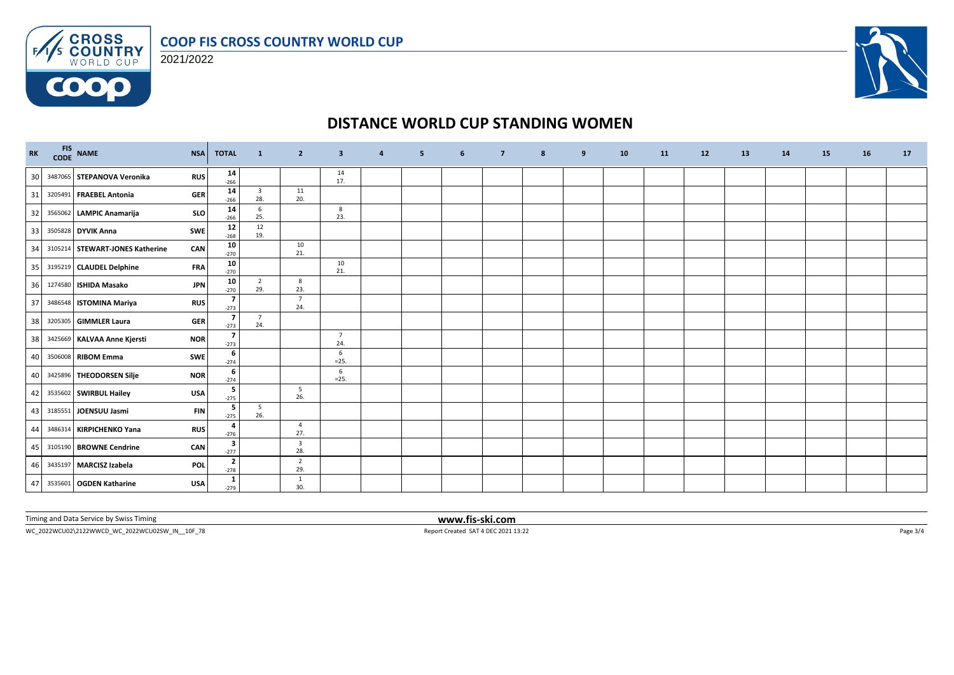



**COOO** 



## **DISTANCE WORLD CUP STANDING WOMEN**

| RK | <b>FIS</b> | CODE NAME                       | <b>NSA</b> | <b>TOTAL</b>             | $\mathbf{1}$                   | $\overline{2}$                 | $\overline{\mathbf{3}}$ | $\overline{a}$ | 5 | 6 | $\overline{7}$ | 8 | 9 | 10 | <b>11</b> | 12 | 13 | 14 | <b>15</b> | 16 | 17 |
|----|------------|---------------------------------|------------|--------------------------|--------------------------------|--------------------------------|-------------------------|----------------|---|---|----------------|---|---|----|-----------|----|----|----|-----------|----|----|
| 30 |            | 3487065 STEPANOVA Veronika      | <b>RUS</b> | 14<br>$-266$             |                                |                                | 14<br>17.               |                |   |   |                |   |   |    |           |    |    |    |           |    |    |
| 31 |            | 3205491 FRAEBEL Antonia         | <b>GER</b> | 14<br>$-266$             | $\overline{\mathbf{3}}$<br>28. | 11<br>20.                      |                         |                |   |   |                |   |   |    |           |    |    |    |           |    |    |
| 32 |            | 3565062 LAMPIC Anamarija        | SLO        | 14<br>$-266$             | 6<br>25.                       |                                | 8<br>23.                |                |   |   |                |   |   |    |           |    |    |    |           |    |    |
| 33 |            | 3505828 DYVIK Anna              | SWE        | 12<br>$-268$             | 12<br>19.                      |                                |                         |                |   |   |                |   |   |    |           |    |    |    |           |    |    |
| 34 |            | 3105214 STEWART-JONES Katherine | CAN        | 10<br>$-270$             |                                | 10<br>21.                      |                         |                |   |   |                |   |   |    |           |    |    |    |           |    |    |
| 35 |            | 3195219 CLAUDEL Delphine        | <b>FRA</b> | 10<br>$-270$             |                                |                                | 10<br>21.               |                |   |   |                |   |   |    |           |    |    |    |           |    |    |
| 36 |            | 1274580 ISHIDA Masako           | <b>JPN</b> | 10<br>$-270$             | $\overline{2}$<br>29.          | 8<br>23.                       |                         |                |   |   |                |   |   |    |           |    |    |    |           |    |    |
| 37 |            | 3486548 ISTOMINA Mariya         | <b>RUS</b> | $\overline{7}$<br>$-273$ |                                | $\overline{7}$<br>24.          |                         |                |   |   |                |   |   |    |           |    |    |    |           |    |    |
| 38 |            | 3205305 GIMMLER Laura           | <b>GER</b> | $\overline{7}$<br>$-273$ | $\overline{7}$<br>24.          |                                |                         |                |   |   |                |   |   |    |           |    |    |    |           |    |    |
| 38 |            | 3425669 KALVAA Anne Kjersti     | <b>NOR</b> | $\overline{7}$<br>$-273$ |                                |                                | $\overline{7}$<br>24.   |                |   |   |                |   |   |    |           |    |    |    |           |    |    |
| 40 |            | 3506008 RIBOM Emma              | SWE        | 6<br>$-274$              |                                |                                | 6<br>$=25.$             |                |   |   |                |   |   |    |           |    |    |    |           |    |    |
| 40 |            | 3425896 THEODORSEN Silje        | <b>NOR</b> | 6<br>$-274$              |                                |                                | 6<br>$=25.$             |                |   |   |                |   |   |    |           |    |    |    |           |    |    |
| 42 |            | 3535602 SWIRBUL Hailey          | <b>USA</b> | 5<br>$-275$              |                                | 5<br>26.                       |                         |                |   |   |                |   |   |    |           |    |    |    |           |    |    |
| 43 |            | 3185551 JOENSUU Jasmi           | <b>FIN</b> | -5<br>$-275$             | 5<br>26.                       |                                |                         |                |   |   |                |   |   |    |           |    |    |    |           |    |    |
| 44 |            | 3486314 KIRPICHENKO Yana        | <b>RUS</b> | -4<br>$-276$             |                                | $\overline{4}$<br>27.          |                         |                |   |   |                |   |   |    |           |    |    |    |           |    |    |
| 45 |            | 3105190 BROWNE Cendrine         | CAN        | 3<br>$-277$              |                                | $\overline{\mathbf{3}}$<br>28. |                         |                |   |   |                |   |   |    |           |    |    |    |           |    |    |
| 46 |            | 3435197 MARCISZ Izabela         | POL        | $\overline{2}$<br>$-278$ |                                | $\overline{2}$<br>29.          |                         |                |   |   |                |   |   |    |           |    |    |    |           |    |    |
| 47 |            | 3535601 OGDEN Katharine         | <b>USA</b> | 1<br>$-279$              |                                | $\mathbf{1}$<br>30.            |                         |                |   |   |                |   |   |    |           |    |    |    |           |    |    |

Timing and Data Service by Swiss Timing **www.fis-ski.com**

WC\_2022WCU02\2122WWCD\_WC\_2022WCU02SW\_IN\_\_10F\_78 Report Created SAT 4 DEC 2021 13:22 Page 3/4